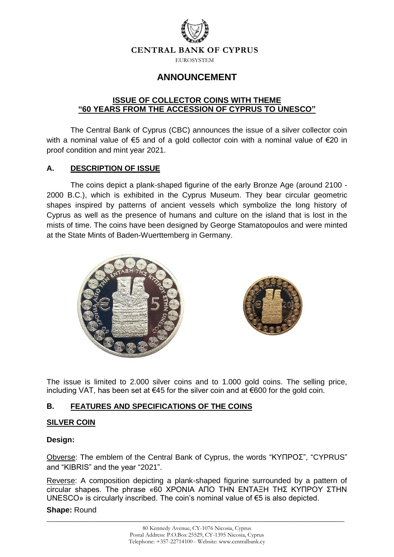

# **ANNOUNCEMENT**

# **ISSUE OF COLLECTOR COINS WITH THEME "60 YEARS FROM THE ACCESSION OF CYPRUS TO UNESCO"**

The Central Bank of Cyprus (CBC) announces the issue of a silver collector coin with a nominal value of €5 and of a gold collector coin with a nominal value of €20 in proof condition and mint year 2021.

# **A. DESCRIPTION OF ISSUE**

The coins depict a plank-shaped figurine of the early Bronze Age (around 2100 - 2000 B.C.), which is exhibited in the Cyprus Museum. They bear circular geometric shapes inspired by patterns of ancient vessels which symbolize the long history of Cyprus as well as the presence of humans and culture on the island that is lost in the mists of time. The coins have been designed by George Stamatopoulos and were minted at the State Mints of Baden-Wuerttemberg in Germany.





The issue is limited to 2.000 silver coins and to 1.000 gold coins. The selling price, including VAT, has been set at €45 for the silver coin and at €600 for the gold coin.

# **Β. FEATURES AND SPECIFICATIONS OF THE COINS**

# **SILVER COIN**

#### **Design:**

Obverse: The emblem of the Central Bank of Cyprus, the words "ΚΥΠΡΟΣ", "CYPRUS" and "KIBRIS" and the year "2021".

Reverse: A composition depicting a plank-shaped figurine surrounded by a pattern of circular shapes. The phrase «60 ΧΡΟΝΙΑ ΑΠΟ ΤΗΝ ΕΝΤΑΞΗ ΤΗΣ ΚΥΠΡΟΥ ΣΤΗΝ UNESCO» is circularly inscribed. The coin's nominal value of €5 is also depicted.

#### **Shape:** Round

\_\_\_\_\_\_\_\_\_\_\_\_\_\_\_\_\_\_\_\_\_\_\_\_\_\_\_\_\_\_\_\_\_\_\_\_\_\_\_\_\_\_\_\_\_\_\_\_\_\_\_\_\_\_\_\_\_\_\_\_\_\_\_\_\_\_\_\_\_\_\_\_\_\_\_\_\_\_\_\_\_\_\_\_\_\_\_\_\_\_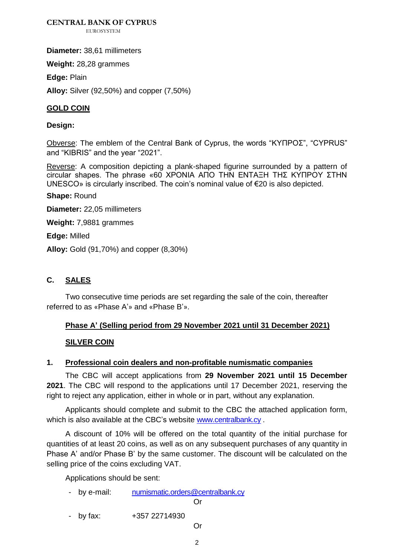**CENTRAL BANK OF CYPRUS**

**EUROSYSTEM** 

**Diameter:** 38,61 millimeters

**Weight:** 28,28 grammes

**Edge:** Plain

**Alloy:** Silver (92,50%) and copper (7,50%)

## **GOLD COIN**

#### **Design:**

Obverse: The emblem of the Central Bank of Cyprus, the words "ΚΥΠΡΟΣ", "CYPRUS" and "KIBRIS" and the year "2021".

Reverse: A composition depicting a plank-shaped figurine surrounded by a pattern of circular shapes. The phrase «60 ΧΡΟΝΙΑ ΑΠΟ ΤΗΝ ΕΝΤΑΞΗ ΤΗΣ ΚΥΠΡΟΥ ΣΤΗΝ UNESCO» is circularly inscribed. The coin's nominal value of €20 is also depicted.

**Shape:** Round

**Diameter:** 22,05 millimeters

**Weight:** 7,9881 grammes

**Edge:** Milled

**Alloy:** Gold (91,70%) and copper (8,30%)

# **C. SALES**

Two consecutive time periods are set regarding the sale of the coin, thereafter referred to as «Phase A'» and «Phase B'».

# **Phase A' (Selling period from 29 November 2021 until 31 December 2021)**

#### **SILVER COIN**

#### **1. Professional coin dealers and non-profitable numismatic companies**

The CBC will accept applications from **29 November 2021 until 15 December 2021**. The CBC will respond to the applications until 17 December 2021, reserving the right to reject any application, either in whole or in part, without any explanation.

Applicants should complete and submit to the CBC the attached application form, which is also available at the CBC's website [www.centralbank.cy](http://www.centralbank.cy/) .

A discount of 10% will be offered on the total quantity of the initial purchase for quantities of at least 20 coins, as well as on any subsequent purchases of any quantity in Phase A' and/or Phase B' by the same customer. The discount will be calculated on the selling price of the coins excluding VAT.

Applications should be sent:

- by e-mail: [numismatic.orders@centralbank.cy](mailto:numismatic.orders@centralbank.cy)

#### Or

- by fax: +357 22714930